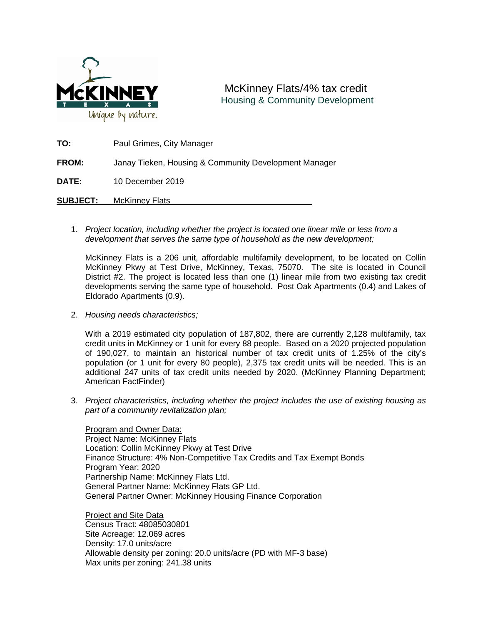

## McKinney Flats/4% tax credit Housing & Community Development

| TO:             | Paul Grimes, City Manager                             |
|-----------------|-------------------------------------------------------|
| <b>FROM:</b>    | Janay Tieken, Housing & Community Development Manager |
| <b>DATE:</b>    | 10 December 2019                                      |
| <b>SUBJECT:</b> | <b>McKinney Flats</b>                                 |

1. *Project location, including whether the project is located one linear mile or less from a development that serves the same type of household as the new development;*

McKinney Flats is a 206 unit, affordable multifamily development, to be located on Collin McKinney Pkwy at Test Drive, McKinney, Texas, 75070. The site is located in Council District #2. The project is located less than one (1) linear mile from two existing tax credit developments serving the same type of household. Post Oak Apartments (0.4) and Lakes of Eldorado Apartments (0.9).

2. *Housing needs characteristics;*

With a 2019 estimated city population of 187,802, there are currently 2,128 multifamily, tax credit units in McKinney or 1 unit for every 88 people. Based on a 2020 projected population of 190,027, to maintain an historical number of tax credit units of 1.25% of the city's population (or 1 unit for every 80 people), 2,375 tax credit units will be needed. This is an additional 247 units of tax credit units needed by 2020. (McKinney Planning Department; American FactFinder)

3. *Project characteristics, including whether the project includes the use of existing housing as part of a community revitalization plan;*

Program and Owner Data: Project Name: McKinney Flats Location: Collin McKinney Pkwy at Test Drive Finance Structure: 4% Non-Competitive Tax Credits and Tax Exempt Bonds Program Year: 2020 Partnership Name: McKinney Flats Ltd. General Partner Name: McKinney Flats GP Ltd. General Partner Owner: McKinney Housing Finance Corporation

Project and Site Data Census Tract: 48085030801 Site Acreage: 12.069 acres Density: 17.0 units/acre Allowable density per zoning: 20.0 units/acre (PD with MF-3 base) Max units per zoning: 241.38 units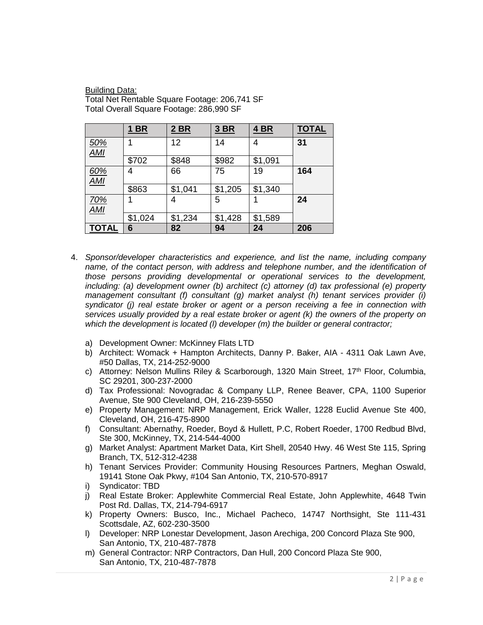Building Data: Total Net Rentable Square Footage: 206,741 SF Total Overall Square Footage: 286,990 SF

|                                | <b>1 BR</b> | $2$ BR  | 3 BR    | <u>4 BR</u> | <b>TOTAL</b> |
|--------------------------------|-------------|---------|---------|-------------|--------------|
| <u>50%</u><br>$\overline{AMI}$ |             | 12      | 14      | 4           | 31           |
|                                | \$702       | \$848   | \$982   | \$1,091     |              |
| 60%<br><b>AMI</b>              | 4           | 66      | 75      | 19          | 164          |
|                                | \$863       | \$1,041 | \$1,205 | \$1,340     |              |
| <u>70%</u>                     |             | 4       | 5       |             | 24           |
| <b>AMI</b>                     | \$1,024     | \$1,234 | \$1,428 | \$1,589     |              |
| <b>TOTAL</b>                   | 6           | 82      | 94      | 24          | 206          |

- 4. *Sponsor/developer characteristics and experience, and list the name, including company name, of the contact person, with address and telephone number, and the identification of those persons providing developmental or operational services to the development, including: (a) development owner (b) architect (c) attorney (d) tax professional (e) property management consultant (f) consultant (g) market analyst (h) tenant services provider (i) syndicator (j) real estate broker or agent or a person receiving a fee in connection with services usually provided by a real estate broker or agent (k) the owners of the property on which the development is located (l) developer (m) the builder or general contractor;*
	- a) Development Owner: McKinney Flats LTD
	- b) Architect: Womack + Hampton Architects, Danny P. Baker, AIA 4311 Oak Lawn Ave, #50 Dallas, TX, 214-252-9000
	- c) Attorney: Nelson Mullins Riley & Scarborough, 1320 Main Street, 17th Floor, Columbia, SC 29201, 300-237-2000
	- d) Tax Professional: Novogradac & Company LLP, Renee Beaver, CPA, 1100 Superior Avenue, Ste 900 Cleveland, OH, 216-239-5550
	- e) Property Management: NRP Management, Erick Waller, 1228 Euclid Avenue Ste 400, Cleveland, OH, 216-475-8900
	- f) Consultant: Abernathy, Roeder, Boyd & Hullett, P.C, Robert Roeder, 1700 Redbud Blvd, Ste 300, McKinney, TX, 214-544-4000
	- g) Market Analyst: Apartment Market Data, Kirt Shell, 20540 Hwy. 46 West Ste 115, Spring Branch, TX, 512-312-4238
	- h) Tenant Services Provider: Community Housing Resources Partners, Meghan Oswald, 19141 Stone Oak Pkwy, #104 San Antonio, TX, 210-570-8917
	- i) Syndicator: TBD
	- j) Real Estate Broker: Applewhite Commercial Real Estate, John Applewhite, 4648 Twin Post Rd. Dallas, TX, 214-794-6917
	- k) Property Owners: Busco, Inc., Michael Pacheco, 14747 Northsight, Ste 111-431 Scottsdale, AZ, 602-230-3500
	- l) Developer: NRP Lonestar Development, Jason Arechiga, 200 Concord Plaza Ste 900, San Antonio, TX, 210-487-7878
	- m) General Contractor: NRP Contractors, Dan Hull, 200 Concord Plaza Ste 900, San Antonio, TX, 210-487-7878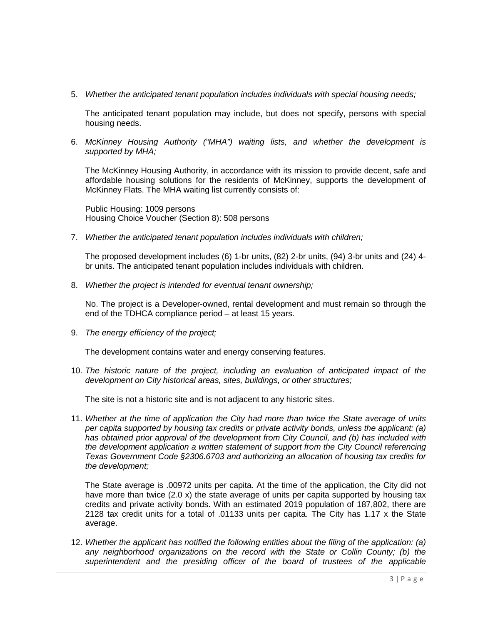5. *Whether the anticipated tenant population includes individuals with special housing needs;*

The anticipated tenant population may include, but does not specify, persons with special housing needs.

6. *McKinney Housing Authority ("MHA") waiting lists, and whether the development is supported by MHA;*

The McKinney Housing Authority, in accordance with its mission to provide decent, safe and affordable housing solutions for the residents of McKinney, supports the development of McKinney Flats. The MHA waiting list currently consists of:

Public Housing: 1009 persons Housing Choice Voucher (Section 8): 508 persons

7. *Whether the anticipated tenant population includes individuals with children;*

The proposed development includes (6) 1-br units, (82) 2-br units, (94) 3-br units and (24) 4 br units. The anticipated tenant population includes individuals with children.

8. *Whether the project is intended for eventual tenant ownership;*

No. The project is a Developer-owned, rental development and must remain so through the end of the TDHCA compliance period – at least 15 years.

9. *The energy efficiency of the project;*

The development contains water and energy conserving features.

10. *The historic nature of the project, including an evaluation of anticipated impact of the development on City historical areas, sites, buildings, or other structures;*

The site is not a historic site and is not adjacent to any historic sites.

11. *Whether at the time of application the City had more than twice the State average of units per capita supported by housing tax credits or private activity bonds, unless the applicant: (a) has obtained prior approval of the development from City Council, and (b) has included with the development application a written statement of support from the City Council referencing Texas Government Code §2306.6703 and authorizing an allocation of housing tax credits for the development;*

The State average is .00972 units per capita. At the time of the application, the City did not have more than twice (2.0 x) the state average of units per capita supported by housing tax credits and private activity bonds. With an estimated 2019 population of 187,802, there are 2128 tax credit units for a total of .01133 units per capita. The City has 1.17 x the State average.

12. *Whether the applicant has notified the following entities about the filing of the application: (a) any neighborhood organizations on the record with the State or Collin County; (b) the superintendent and the presiding officer of the board of trustees of the applicable*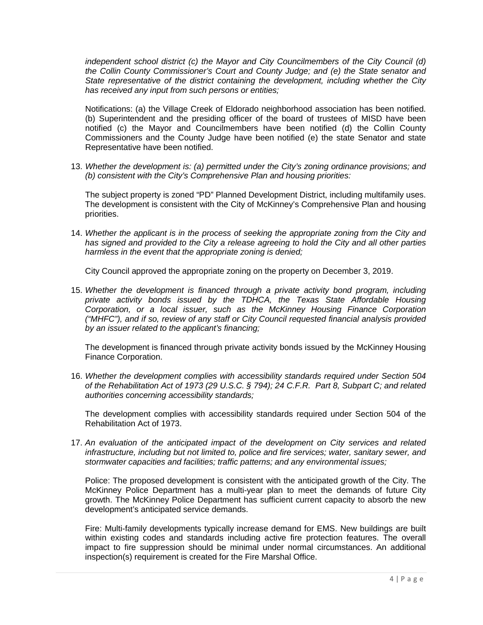*independent school district (c) the Mayor and City Councilmembers of the City Council (d) the Collin County Commissioner's Court and County Judge; and (e) the State senator and State representative of the district containing the development, including whether the City has received any input from such persons or entities;*

Notifications: (a) the Village Creek of Eldorado neighborhood association has been notified. (b) Superintendent and the presiding officer of the board of trustees of MISD have been notified (c) the Mayor and Councilmembers have been notified (d) the Collin County Commissioners and the County Judge have been notified (e) the state Senator and state Representative have been notified.

13. *Whether the development is: (a) permitted under the City's zoning ordinance provisions; and (b) consistent with the City's Comprehensive Plan and housing priorities:*

The subject property is zoned "PD" Planned Development District, including multifamily uses. The development is consistent with the City of McKinney's Comprehensive Plan and housing priorities.

14. *Whether the applicant is in the process of seeking the appropriate zoning from the City and has signed and provided to the City a release agreeing to hold the City and all other parties harmless in the event that the appropriate zoning is denied;*

City Council approved the appropriate zoning on the property on December 3, 2019.

15. *Whether the development is financed through a private activity bond program, including private activity bonds issued by the TDHCA, the Texas State Affordable Housing Corporation, or a local issuer, such as the McKinney Housing Finance Corporation ("MHFC"), and if so, review of any staff or City Council requested financial analysis provided by an issuer related to the applicant's financing;*

The development is financed through private activity bonds issued by the McKinney Housing Finance Corporation.

16. *Whether the development complies with accessibility standards required under Section 504 of the Rehabilitation Act of 1973 (29 U.S.C. § 794); 24 C.F.R. Part 8, Subpart C; and related authorities concerning accessibility standards;* 

The development complies with accessibility standards required under Section 504 of the Rehabilitation Act of 1973.

17. *An evaluation of the anticipated impact of the development on City services and related infrastructure, including but not limited to, police and fire services; water, sanitary sewer, and stormwater capacities and facilities; traffic patterns; and any environmental issues;*

Police: The proposed development is consistent with the anticipated growth of the City. The McKinney Police Department has a multi-year plan to meet the demands of future City growth. The McKinney Police Department has sufficient current capacity to absorb the new development's anticipated service demands.

Fire: Multi-family developments typically increase demand for EMS. New buildings are built within existing codes and standards including active fire protection features. The overall impact to fire suppression should be minimal under normal circumstances. An additional inspection(s) requirement is created for the Fire Marshal Office.